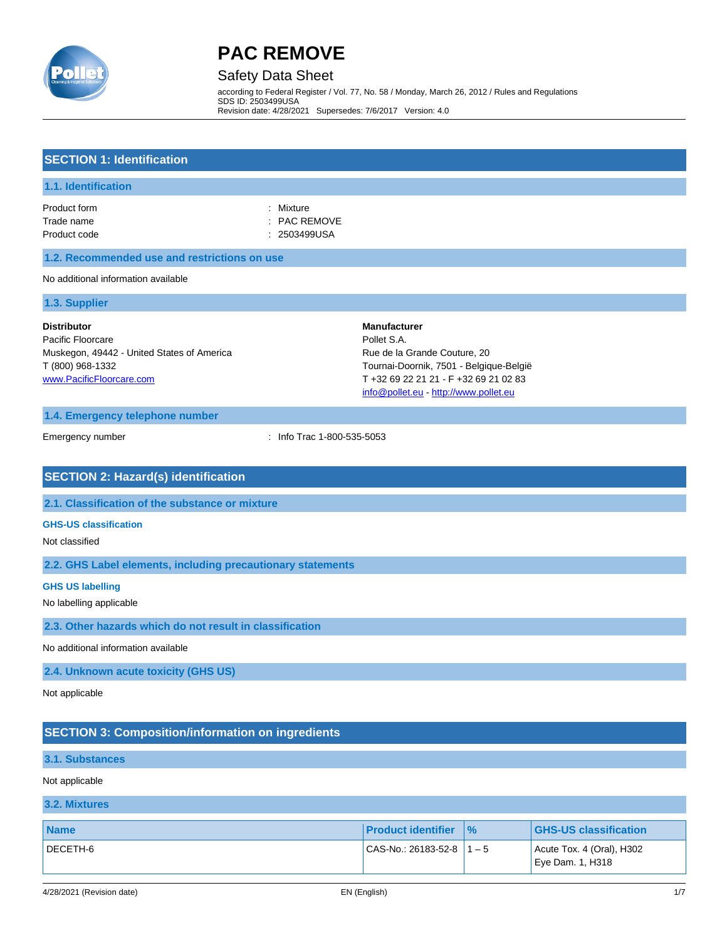

# Safety Data Sheet

according to Federal Register / Vol. 77, No. 58 / Monday, March 26, 2012 / Rules and Regulations SDS ID: 2503499USA Revision date: 4/28/2021 Supersedes: 7/6/2017 Version: 4.0

| <b>SECTION 1: Identification</b>                                                                                                      |                                                                                                                                                                                                 |  |  |  |
|---------------------------------------------------------------------------------------------------------------------------------------|-------------------------------------------------------------------------------------------------------------------------------------------------------------------------------------------------|--|--|--|
| 1.1. Identification                                                                                                                   |                                                                                                                                                                                                 |  |  |  |
| Product form<br>Trade name<br>Product code                                                                                            | Mixture<br>PAC REMOVE<br>2503499USA                                                                                                                                                             |  |  |  |
| 1.2. Recommended use and restrictions on use                                                                                          |                                                                                                                                                                                                 |  |  |  |
| No additional information available                                                                                                   |                                                                                                                                                                                                 |  |  |  |
| 1.3. Supplier                                                                                                                         |                                                                                                                                                                                                 |  |  |  |
| <b>Distributor</b><br>Pacific Floorcare<br>Muskegon, 49442 - United States of America<br>T (800) 968-1332<br>www.PacificFloorcare.com | <b>Manufacturer</b><br>Pollet S.A.<br>Rue de la Grande Couture, 20<br>Tournai-Doornik, 7501 - Belgique-België<br>T +32 69 22 21 21 - F +32 69 21 02 83<br>info@pollet.eu - http://www.pollet.eu |  |  |  |
| 1.4. Emergency telephone number                                                                                                       |                                                                                                                                                                                                 |  |  |  |
| Emergency number                                                                                                                      | : Info Trac 1-800-535-5053                                                                                                                                                                      |  |  |  |
| <b>SECTION 2: Hazard(s) identification</b><br>2.1. Classification of the substance or mixture<br><b>GHS-US classification</b>         |                                                                                                                                                                                                 |  |  |  |
| Not classified                                                                                                                        |                                                                                                                                                                                                 |  |  |  |
| 2.2. GHS Label elements, including precautionary statements                                                                           |                                                                                                                                                                                                 |  |  |  |
| <b>GHS US labelling</b><br>No labelling applicable                                                                                    |                                                                                                                                                                                                 |  |  |  |
| 2.3. Other hazards which do not result in classification                                                                              |                                                                                                                                                                                                 |  |  |  |
| No additional information available                                                                                                   |                                                                                                                                                                                                 |  |  |  |
| 2.4. Unknown acute toxicity (GHS US)                                                                                                  |                                                                                                                                                                                                 |  |  |  |
| Not applicable                                                                                                                        |                                                                                                                                                                                                 |  |  |  |
| <b>SECTION 3: Composition/information on ingredients</b><br>3.1. Substances                                                           |                                                                                                                                                                                                 |  |  |  |
| Not applicable                                                                                                                        |                                                                                                                                                                                                 |  |  |  |

# **3.2. Mixtures**

| <b>Name</b> | <b>Product identifier</b>     | $\frac{9}{6}$ | <b>GHS-US classification</b>                            |
|-------------|-------------------------------|---------------|---------------------------------------------------------|
| DECETH-6    | $CAS-No.: 26183-52-8$   1 - 5 |               | $\vert$ Acute Tox. 4 (Oral), H302<br>Eye Dam. 1, $H318$ |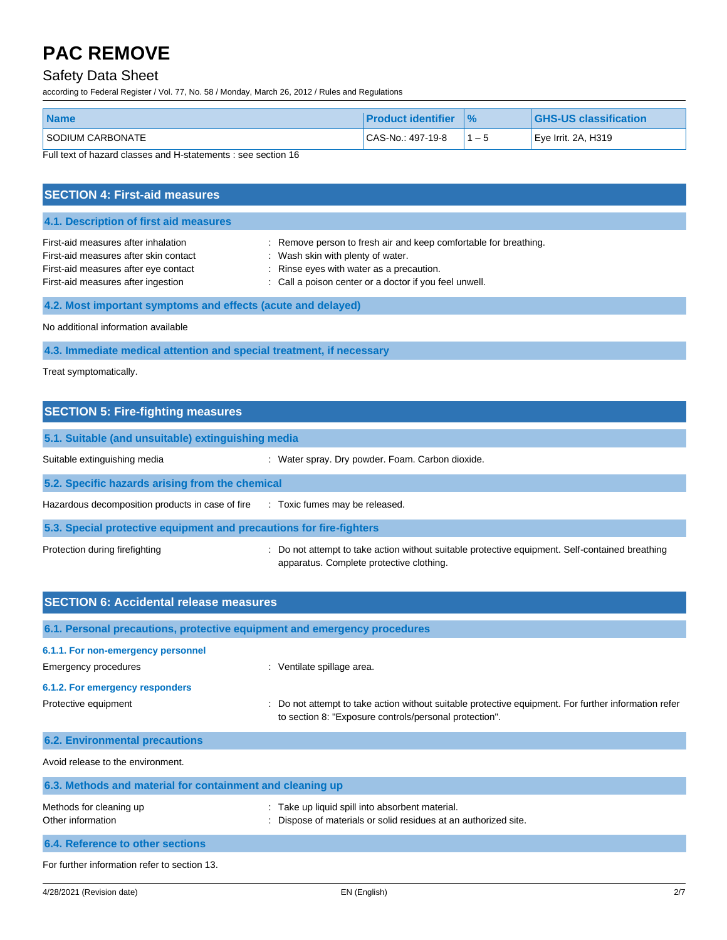## Safety Data Sheet

according to Federal Register / Vol. 77, No. 58 / Monday, March 26, 2012 / Rules and Regulations

| <b>Name</b>             | <b>Product identifier</b> | $\frac{1}{2}$ | <b>GHS-US classification</b> |
|-------------------------|---------------------------|---------------|------------------------------|
| <b>SODIUM CARBONATE</b> | CAS-No.: 497-19-8         | $1 - 5$       | Eye Irrit. 2A, H319          |

Full text of hazard classes and H-statements : see section 16

| <b>SECTION 4: First-aid measures</b>                                                                                                                       |                                                                                                                                                                                                             |  |
|------------------------------------------------------------------------------------------------------------------------------------------------------------|-------------------------------------------------------------------------------------------------------------------------------------------------------------------------------------------------------------|--|
| 4.1. Description of first aid measures                                                                                                                     |                                                                                                                                                                                                             |  |
| First-aid measures after inhalation<br>First-aid measures after skin contact<br>First-aid measures after eye contact<br>First-aid measures after ingestion | : Remove person to fresh air and keep comfortable for breathing.<br>: Wash skin with plenty of water.<br>: Rinse eyes with water as a precaution.<br>: Call a poison center or a doctor if you feel unwell. |  |
| 4.2. Most important symptoms and effects (acute and delayed)                                                                                               |                                                                                                                                                                                                             |  |
| h ha coma al liberta de la constanza constante de la constitución de la constitución de la constitución de la                                              |                                                                                                                                                                                                             |  |

No additional information available

**4.3. Immediate medical attention and special treatment, if necessary**

Treat symptomatically.

| <b>SECTION 5: Fire-fighting measures</b>                            |                                                                                                                                             |  |  |  |
|---------------------------------------------------------------------|---------------------------------------------------------------------------------------------------------------------------------------------|--|--|--|
| 5.1. Suitable (and unsuitable) extinguishing media                  |                                                                                                                                             |  |  |  |
| Suitable extinguishing media                                        | : Water spray. Dry powder. Foam. Carbon dioxide.                                                                                            |  |  |  |
| 5.2. Specific hazards arising from the chemical                     |                                                                                                                                             |  |  |  |
| Hazardous decomposition products in case of fire                    | : Toxic fumes may be released.                                                                                                              |  |  |  |
| 5.3. Special protective equipment and precautions for fire-fighters |                                                                                                                                             |  |  |  |
| Protection during firefighting                                      | : Do not attempt to take action without suitable protective equipment. Self-contained breathing<br>apparatus. Complete protective clothing. |  |  |  |

| <b>SECTION 6: Accidental release measures</b>                            |                                                                                                                                                              |  |  |  |
|--------------------------------------------------------------------------|--------------------------------------------------------------------------------------------------------------------------------------------------------------|--|--|--|
| 6.1. Personal precautions, protective equipment and emergency procedures |                                                                                                                                                              |  |  |  |
| 6.1.1. For non-emergency personnel<br>Emergency procedures               | : Ventilate spillage area.                                                                                                                                   |  |  |  |
| 6.1.2. For emergency responders                                          |                                                                                                                                                              |  |  |  |
| Protective equipment                                                     | Do not attempt to take action without suitable protective equipment. For further information refer<br>to section 8: "Exposure controls/personal protection". |  |  |  |
| <b>6.2. Environmental precautions</b>                                    |                                                                                                                                                              |  |  |  |
| Avoid release to the environment.                                        |                                                                                                                                                              |  |  |  |
| 6.3. Methods and material for containment and cleaning up                |                                                                                                                                                              |  |  |  |
| Methods for cleaning up<br>Other information                             | Take up liquid spill into absorbent material.<br>Dispose of materials or solid residues at an authorized site.                                               |  |  |  |
| 6.4. Reference to other sections                                         |                                                                                                                                                              |  |  |  |
| For further information refer to section 13.                             |                                                                                                                                                              |  |  |  |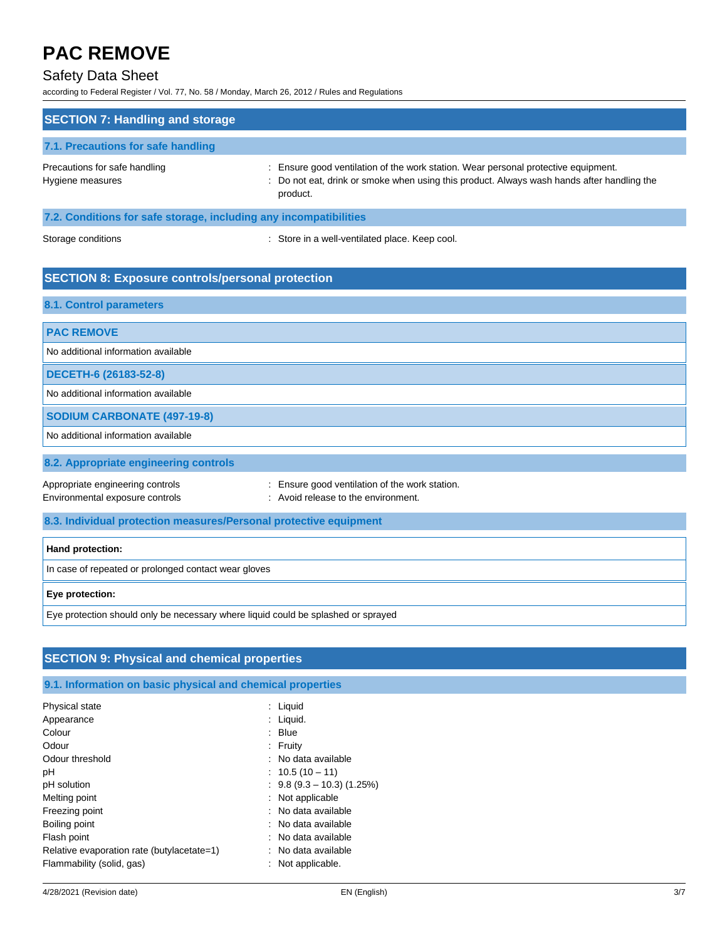### Safety Data Sheet

according to Federal Register / Vol. 77, No. 58 / Monday, March 26, 2012 / Rules and Regulations

| <b>SECTION 7: Handling and storage</b>                               |                                                                                                                                                                                            |  |  |  |
|----------------------------------------------------------------------|--------------------------------------------------------------------------------------------------------------------------------------------------------------------------------------------|--|--|--|
| 7.1. Precautions for safe handling                                   |                                                                                                                                                                                            |  |  |  |
| Precautions for safe handling<br>Hygiene measures                    | Ensure good ventilation of the work station. Wear personal protective equipment.<br>: Do not eat, drink or smoke when using this product. Always wash hands after handling the<br>product. |  |  |  |
| 7.2. Conditions for safe storage, including any incompatibilities    |                                                                                                                                                                                            |  |  |  |
| Storage conditions<br>: Store in a well-ventilated place. Keep cool. |                                                                                                                                                                                            |  |  |  |

# **SECTION 8: Exposure controls/personal protection**

## **8.1. Control parameters**

| <b>PAC REMOVE</b>                                                                 |                                              |  |
|-----------------------------------------------------------------------------------|----------------------------------------------|--|
| No additional information available                                               |                                              |  |
| DECETH-6 (26183-52-8)                                                             |                                              |  |
| No additional information available                                               |                                              |  |
| <b>SODIUM CARBONATE (497-19-8)</b>                                                |                                              |  |
| No additional information available                                               |                                              |  |
|                                                                                   |                                              |  |
| 8.2. Appropriate engineering controls                                             |                                              |  |
| Appropriate engineering controls                                                  | Ensure good ventilation of the work station. |  |
| Environmental exposure controls                                                   | Avoid release to the environment.            |  |
| 8.3. Individual protection measures/Personal protective equipment                 |                                              |  |
| Hand protection:                                                                  |                                              |  |
|                                                                                   |                                              |  |
| In case of repeated or prolonged contact wear gloves                              |                                              |  |
| Eye protection:                                                                   |                                              |  |
| Eye protection should only be necessary where liquid could be splashed or sprayed |                                              |  |

### **SECTION 9: Physical and chemical properties**

### **9.1. Information on basic physical and chemical properties**

| Physical state                             | $:$ Liquid                            |
|--------------------------------------------|---------------------------------------|
| Appearance                                 | $:$ Liquid.                           |
| Colour                                     | <b>Blue</b>                           |
| Odour                                      | $:$ Fruity                            |
| Odour threshold                            | : No data available                   |
| рH                                         | $: 10.5(10 - 11)$                     |
| pH solution                                | $\therefore$ 9.8 (9.3 – 10.3) (1.25%) |
| Melting point                              | : Not applicable                      |
| Freezing point                             | : No data available                   |
| Boiling point                              | : No data available                   |
| Flash point                                | : No data available                   |
| Relative evaporation rate (butylacetate=1) | : No data available                   |
| Flammability (solid, gas)                  | $\therefore$ Not applicable.          |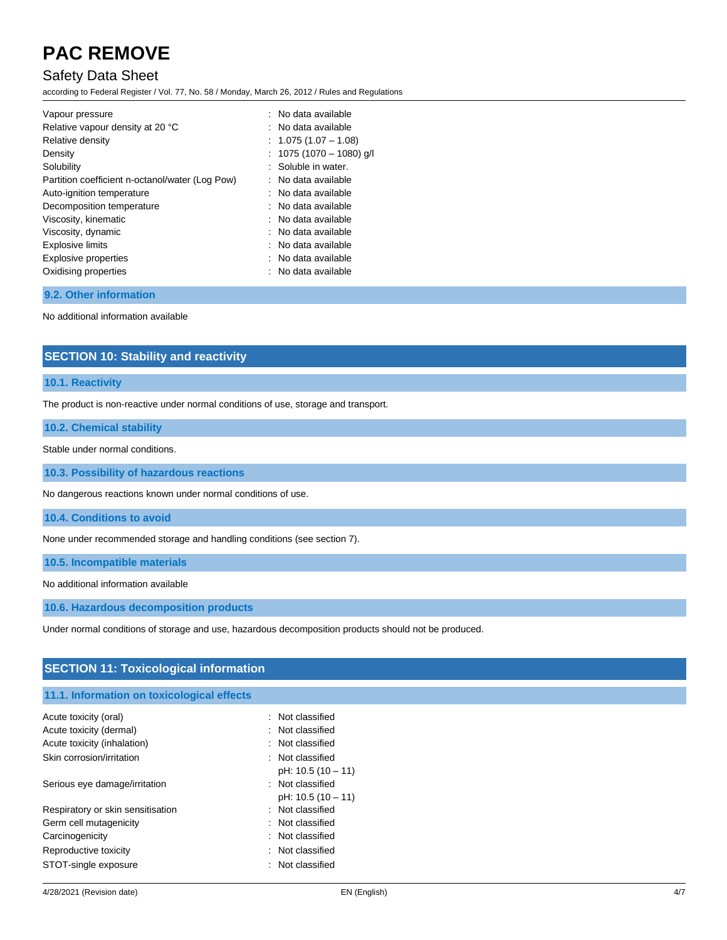## Safety Data Sheet

according to Federal Register / Vol. 77, No. 58 / Monday, March 26, 2012 / Rules and Regulations

| Vapour pressure                                 | $\therefore$ No data available. |
|-------------------------------------------------|---------------------------------|
| Relative vapour density at 20 °C                | : No data available             |
| Relative density                                | $: 1.075(1.07 - 1.08)$          |
| Density                                         | : $1075(1070 - 1080)$ g/l       |
| Solubility                                      | : Soluble in water.             |
| Partition coefficient n-octanol/water (Log Pow) | : No data available             |
| Auto-ignition temperature                       | : No data available             |
| Decomposition temperature                       | : No data available             |
| Viscosity, kinematic                            | : No data available             |
| Viscosity, dynamic                              | : No data available             |
| <b>Explosive limits</b>                         | : No data available             |
| <b>Explosive properties</b>                     | : No data available             |
| Oxidising properties                            | : No data available             |
|                                                 |                                 |

#### **9.2. Other information**

No additional information available

# **SECTION 10: Stability and reactivity**

#### **10.1. Reactivity**

The product is non-reactive under normal conditions of use, storage and transport.

#### **10.2. Chemical stability**

Stable under normal conditions.

**10.3. Possibility of hazardous reactions**

No dangerous reactions known under normal conditions of use.

**10.4. Conditions to avoid**

None under recommended storage and handling conditions (see section 7).

**10.5. Incompatible materials**

No additional information available

**10.6. Hazardous decomposition products**

Under normal conditions of storage and use, hazardous decomposition products should not be produced.

| <b>SECTION 11: Toxicological information</b> |                                         |  |
|----------------------------------------------|-----------------------------------------|--|
|                                              |                                         |  |
| 11.1. Information on toxicological effects   |                                         |  |
| Acute toxicity (oral)                        | : Not classified                        |  |
| Acute toxicity (dermal)                      | : Not classified                        |  |
| Acute toxicity (inhalation)                  | : Not classified                        |  |
| Skin corrosion/irritation                    | : Not classified<br>pH: $10.5(10 - 11)$ |  |
| Serious eye damage/irritation                | : Not classified<br>pH: $10.5(10 - 11)$ |  |
| Respiratory or skin sensitisation            | : Not classified                        |  |
| Germ cell mutagenicity                       | : Not classified                        |  |
| Carcinogenicity                              | : Not classified                        |  |
| Reproductive toxicity                        | : Not classified                        |  |
| STOT-single exposure                         | : Not classified                        |  |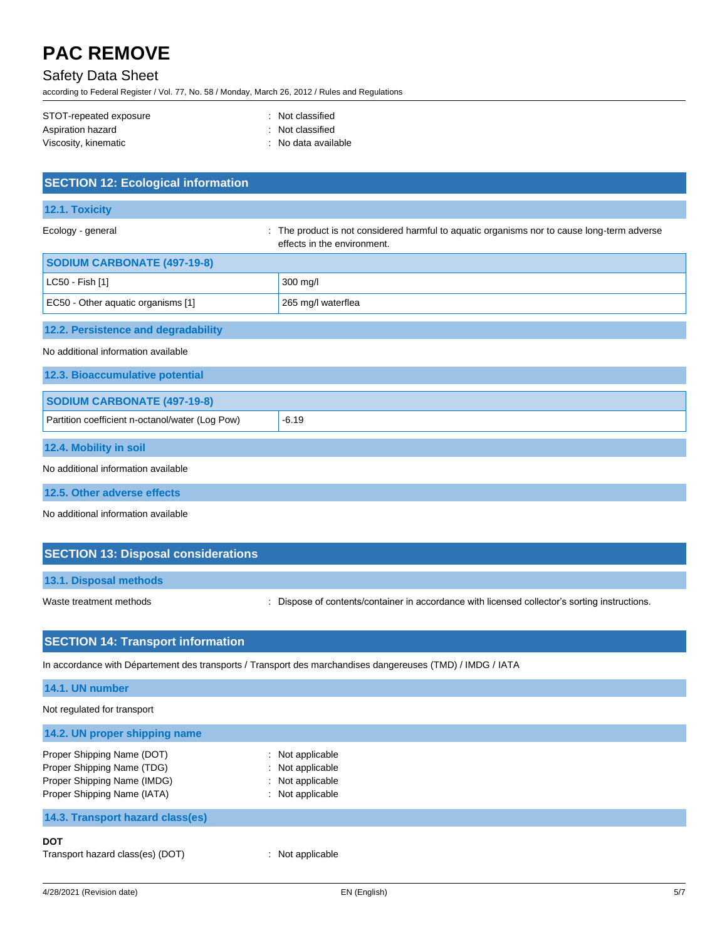# Safety Data Sheet

according to Federal Register / Vol. 77, No. 58 / Monday, March 26, 2012 / Rules and Regulations

| STOT-repeated exposure | : Not classified    |
|------------------------|---------------------|
| Aspiration hazard      | : Not classified    |
| Viscosity, kinematic   | : No data available |

| <b>SECTION 12: Ecological information</b>                                                                  |                                                                                                                            |  |
|------------------------------------------------------------------------------------------------------------|----------------------------------------------------------------------------------------------------------------------------|--|
| 12.1. Toxicity                                                                                             |                                                                                                                            |  |
| Ecology - general                                                                                          | : The product is not considered harmful to aquatic organisms nor to cause long-term adverse<br>effects in the environment. |  |
| <b>SODIUM CARBONATE (497-19-8)</b>                                                                         |                                                                                                                            |  |
| LC50 - Fish [1]                                                                                            | 300 mg/l                                                                                                                   |  |
| EC50 - Other aquatic organisms [1]                                                                         | 265 mg/l waterflea                                                                                                         |  |
| 12.2. Persistence and degradability                                                                        |                                                                                                                            |  |
| No additional information available                                                                        |                                                                                                                            |  |
| 12.3. Bioaccumulative potential                                                                            |                                                                                                                            |  |
| <b>SODIUM CARBONATE (497-19-8)</b>                                                                         |                                                                                                                            |  |
| Partition coefficient n-octanol/water (Log Pow)                                                            | $-6.19$                                                                                                                    |  |
| 12.4. Mobility in soil                                                                                     |                                                                                                                            |  |
| No additional information available                                                                        |                                                                                                                            |  |
| 12.5. Other adverse effects                                                                                |                                                                                                                            |  |
| No additional information available                                                                        |                                                                                                                            |  |
| <b>SECTION 13: Disposal considerations</b>                                                                 |                                                                                                                            |  |
| 13.1. Disposal methods                                                                                     |                                                                                                                            |  |
| Waste treatment methods                                                                                    | Dispose of contents/container in accordance with licensed collector's sorting instructions.                                |  |
| <b>SECTION 14: Transport information</b>                                                                   |                                                                                                                            |  |
| In accordance with Département des transports / Transport des marchandises dangereuses (TMD) / IMDG / IATA |                                                                                                                            |  |

## **14.1. UN number**

Not regulated for transport

| 14.2. UN proper shipping name                                                                                          |                                                                                |
|------------------------------------------------------------------------------------------------------------------------|--------------------------------------------------------------------------------|
| Proper Shipping Name (DOT)<br>Proper Shipping Name (TDG)<br>Proper Shipping Name (IMDG)<br>Proper Shipping Name (IATA) | $:$ Not applicable<br>: Not applicable<br>: Not applicable<br>: Not applicable |
| 14.3. Transport hazard class(es)                                                                                       |                                                                                |
| <b>DOT</b><br>Transport hazard class(es) (DOT)                                                                         | $:$ Not applicable                                                             |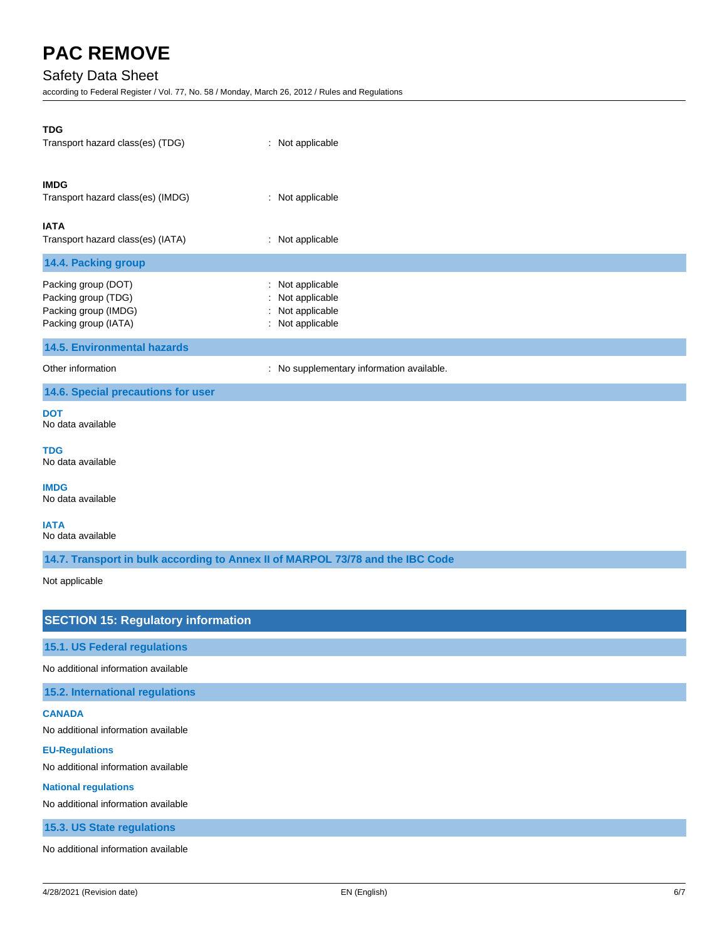### Safety Data Sheet

according to Federal Register / Vol. 77, No. 58 / Monday, March 26, 2012 / Rules and Regulations

| <b>TDG</b><br>Transport hazard class(es) (TDG)                                             | : Not applicable                                                     |  |
|--------------------------------------------------------------------------------------------|----------------------------------------------------------------------|--|
| <b>IMDG</b><br>Transport hazard class(es) (IMDG)                                           | : Not applicable                                                     |  |
| <b>IATA</b><br>Transport hazard class(es) (IATA)                                           | : Not applicable                                                     |  |
| 14.4. Packing group                                                                        |                                                                      |  |
| Packing group (DOT)<br>Packing group (TDG)<br>Packing group (IMDG)<br>Packing group (IATA) | Not applicable<br>Not applicable<br>Not applicable<br>Not applicable |  |
| <b>14.5. Environmental hazards</b>                                                         |                                                                      |  |
| Other information                                                                          | : No supplementary information available.                            |  |
| 14.6. Special precautions for user                                                         |                                                                      |  |
| <b>DOT</b><br>No data available                                                            |                                                                      |  |
| <b>TDG</b><br>No data available                                                            |                                                                      |  |
| <b>IMDG</b><br>No data available                                                           |                                                                      |  |
| <b>IATA</b><br>No data available                                                           |                                                                      |  |
| 14.7. Transport in bulk according to Annex II of MARPOL 73/78 and the IBC Code             |                                                                      |  |
| Not applicable                                                                             |                                                                      |  |
|                                                                                            |                                                                      |  |

### **SECTION 15: Regulatory information**

**15.1. US Federal regulations**

No additional information available

**15.2. International regulations**

### **CANADA**

No additional information available

#### **EU-Regulations**

No additional information available

#### **National regulations**

No additional information available

**15.3. US State regulations**

No additional information available